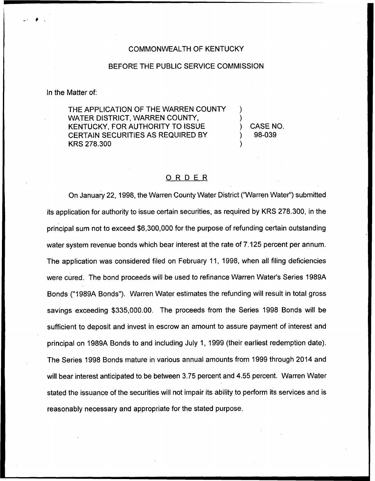## COMMONWEALTH OF KENTUCKY

## BEFORE THE PUBLIC SERVICE COMMISSION

In the Matter of:

THE APPLICATION OF THE WARREN COUNTY WATER DISTRICT, WARREN COUNTY, KENTUCKY, FOR AUTHORITY TO ISSUE CERTAIN SECURITIES AS REQUIRED BY KRS 278.300

) CASE NO. ) 98-039

) )

)

## ORDER

On January 22, 1998, the Warren County Water District ("Warren Water") submitte its application for authority to issue certain securities, as required by KRS 278.300, in the principal sum not to exceed \$6,300,000 for the purpose of refunding certain outstanding water system revenue bonds which bear interest at the rate of 7.125 percent per annum. The application was considered filed on February 11, 1998, when all filing deficiencies were cured. The bond proceeds will be used to refinance Warren Water's Series 1989A Bonds ("1989A Bonds"). Warren Water estimates the refunding will result in total gross savings exceeding \$335,000.00. The proceeds from the Series 1998 Bonds will be sufficient to deposit and invest in escrow an amount to assure payment of interest and principal on 1989A Bonds to and including July 1, 1999 (their earliest redemption date). The Series 1998 Bonds mature in various annual amounts from 1999 through 2014 and will bear interest anticipated to be between 3.75 percent and 4.55 percent. Warren Water stated the issuance of the securities will not impair its ability to perform its services and is reasonably necessary and appropriate for the stated purpose.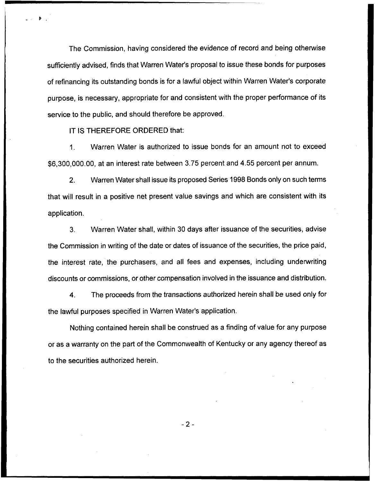The Commission, having considered the evidence of record and being otherwise sufficiently advised, finds that Warren Water's proposal to issue these bonds for purposes of refinancing its outstanding bonds is for a lawful object within Warren Water's corporate purpose, is necessary, appropriate for and consistent with the proper performance of its service to the public, and should therefore be approved.

IT IS THEREFORE ORDERED that:

1. Warren Water is authorized to issue bonds for an amount not to exceed \$6,300,000.00, at an interest rate between 3.75 percent and 4.55 percent per annum.

2. Warren Water shall issue its proposed Series 1998 Bonds only on such terms that will result in a positive net present value savings and which are consistent with its application.

3. Warren Water shall, within 30 days after issuance of the securities, advise the Commission in writing of the date or dates of issuance of the securities, the price paid, the interest rate, the purchasers, and all fees and expenses, including underwriting discounts or commissions, or other compensation involved in the issuance and distribution.

4. The proceeds from the transactions authorized herein shall be used only for the lawful purposes specified in Warren Water's application.

Nothing contained herein shall be construed as a finding of value for any purpose or as a warranty on the part of the Commonwealth of Kentucky or any agency thereof as to the securities authorized herein.

 $-2-$